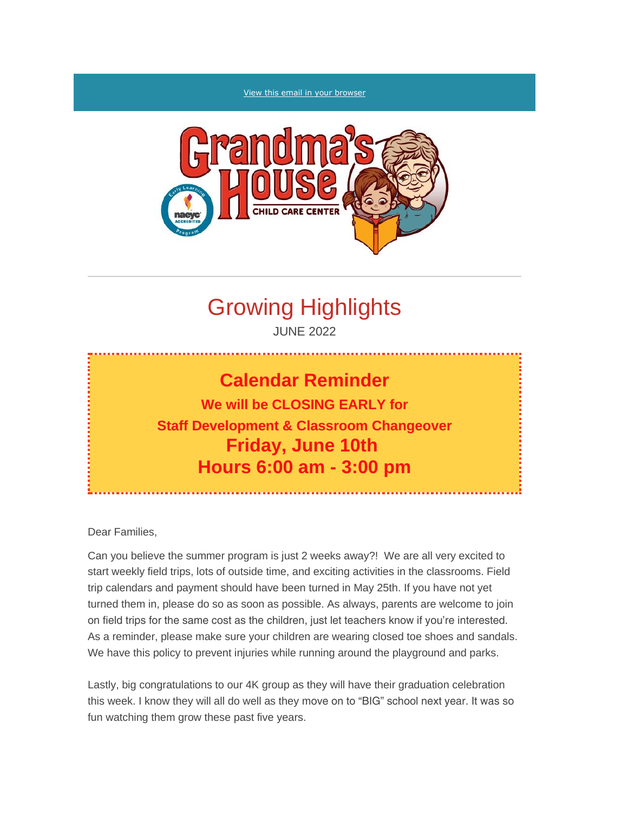#### [View this email in your browser](https://mailchi.mp/c63a88f9aeef/grandmas-house-parent-newsletter?e=%5bUNIQID%5d)



## Growing Highlights

JUNE 2022

# **Calendar Reminder We will be CLOSING EARLY for Staff Development & Classroom Changeover Friday, June 10th Hours 6:00 am - 3:00 pm**

Dear Families,

Can you believe the summer program is just 2 weeks away?! We are all very excited to start weekly field trips, lots of outside time, and exciting activities in the classrooms. Field trip calendars and payment should have been turned in May 25th. If you have not yet turned them in, please do so as soon as possible. As always, parents are welcome to join on field trips for the same cost as the children, just let teachers know if you're interested. As a reminder, please make sure your children are wearing closed toe shoes and sandals. We have this policy to prevent injuries while running around the playground and parks.

Lastly, big congratulations to our 4K group as they will have their graduation celebration this week. I know they will all do well as they move on to "BIG" school next year. It was so fun watching them grow these past five years.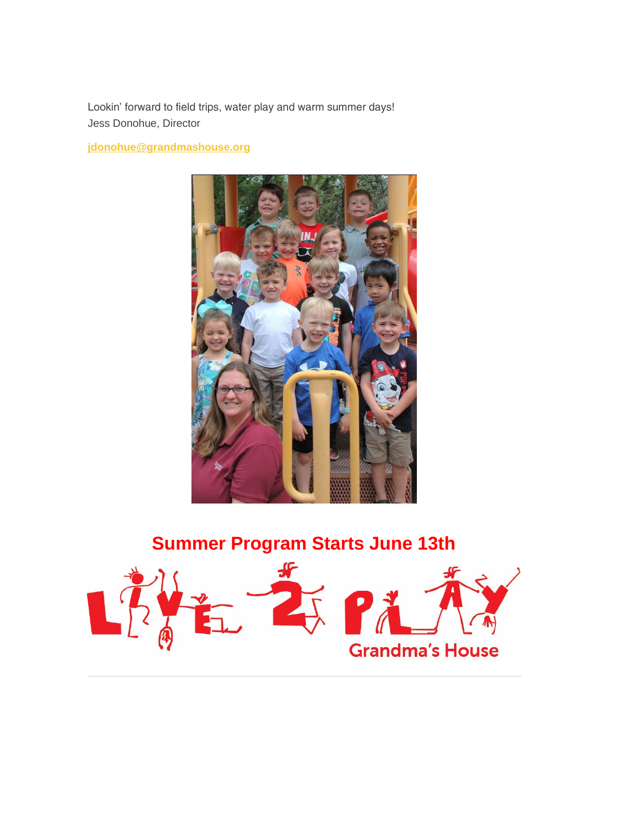Lookin' forward to field trips, water play and warm summer days! *Jess Donohue*, Director

**[jdonohue@grandmashouse.org](mailto:jdonohue@grandmashouse.org)**



## *Summer Program Starts June 13th*

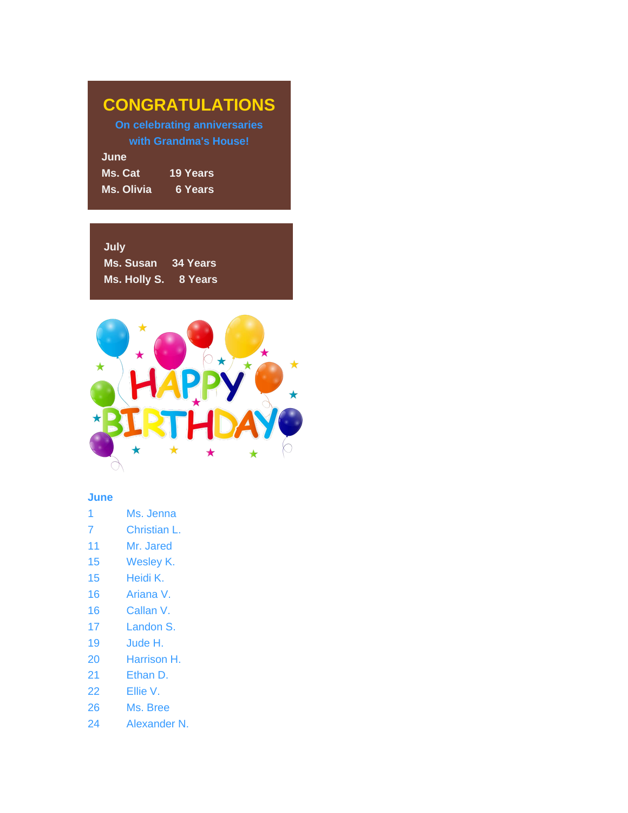|  | <b>CONGRATULATIONS</b> |  |
|--|------------------------|--|
|  |                        |  |

*On celebrating anniversaries with Grandma's House!*

**June** *Ms. Cat 19 Years Ms. Olivia 6 Years*

**July** *Ms. Susan 34 Years Ms. Holly S. 8 Years*



## **June**

- 1 Ms. Jenna
- 7 Christian L.
- 11 Mr. Jared
- 15 Wesley K.
- 15 Heidi K.
- 16 Ariana V.
- 16 Callan V.
- 17 Landon S.
- 19 Jude H.
- 20 Harrison H.
- 21 Ethan D.
- 22 Ellie V.
- 26 Ms. Bree
- 24 Alexander N.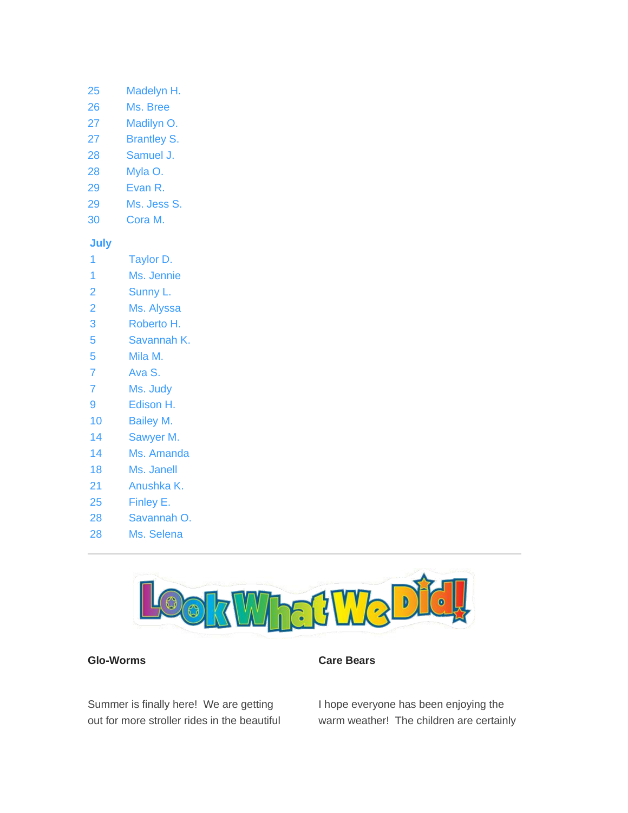## 25 Madelyn H.

- 26 Ms. Bree
- 27 Madilyn O.
- 27 Brantley S.
- 28 Samuel J.
- 28 Myla O.
- 29 Evan R.
- 29 Ms. Jess S.
- 30 Cora M.

## **July**

- 1 Taylor D.
- 1 Ms. Jennie
- 2 Sunny L.
- 2 Ms. Alyssa
- 3 Roberto H.
- 5 Savannah K.
- 5 Mila M.
- 7 Ava S.
- 7 Ms. Judy
- 9 Edison H.
- 10 Bailey M.
- 14 Sawyer M.
- 14 Ms. Amanda
- 18 Ms. Janell
- 21 Anushka K.
- 25 Finley E.
- 28 Savannah O.
- 28 Ms. Selena



## *Glo-Worms*

## *Care Bears*

Summer is finally here! We are getting out for more stroller rides in the beautiful I hope everyone has been enjoying the warm weather! The children are certainly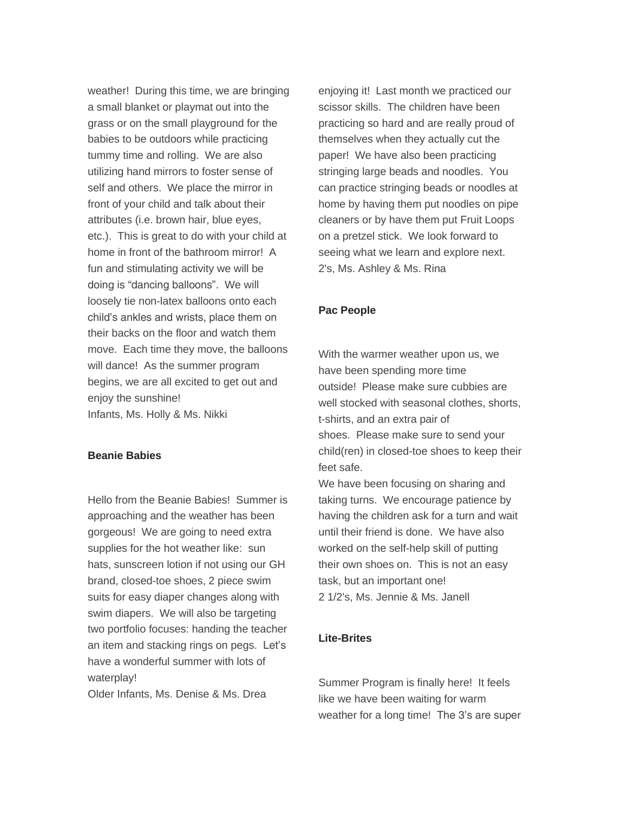weather! During this time, we are bringing a small blanket or playmat out into the grass or on the small playground for the babies to be outdoors while practicing tummy time and rolling. We are also utilizing hand mirrors to foster sense of self and others. We place the mirror in front of your child and talk about their attributes (i.e. brown hair, blue eyes, etc.). This is great to do with your child at home in front of the bathroom mirror! A fun and stimulating activity we will be doing is "dancing balloons". We will loosely tie non-latex balloons onto each child's ankles and wrists, place them on their backs on the floor and watch them move. Each time they move, the balloons will dance! As the summer program begins, we are all excited to get out and enjoy the sunshine! *Infants, Ms. Holly & Ms. Nikki*

#### *Beanie Babies*

Hello from the Beanie Babies! Summer is approaching and the weather has been gorgeous! We are going to need extra supplies for the hot weather like: sun hats, sunscreen lotion if not using our GH brand, closed-toe shoes, 2 piece swim suits for easy diaper changes along with swim diapers. We will also be targeting two portfolio focuses: handing the teacher an item and stacking rings on pegs. Let's have a wonderful summer with lots of waterplay!

*Older Infants, Ms. Denise & Ms. Drea*

enjoying it! Last month we practiced our scissor skills. The children have been practicing so hard and are really proud of themselves when they actually cut the paper! We have also been practicing stringing large beads and noodles. You can practice stringing beads or noodles at home by having them put noodles on pipe cleaners or by have them put Fruit Loops on a pretzel stick. We look forward to seeing what we learn and explore next. *2's, Ms. Ashley & Ms. Rina*

### *Pac People*

With the warmer weather upon us, we have been spending more time outside! Please make sure cubbies are well stocked with seasonal clothes, shorts, t-shirts, and an extra pair of shoes. Please make sure to send your child(ren) in closed-toe shoes to keep their feet safe.

We have been focusing on sharing and taking turns. We encourage patience by having the children ask for a turn and wait until their friend is done. We have also worked on the self-help skill of putting their own shoes on. This is not an easy task, but an important one! *2 1/2's, Ms. Jennie & Ms. Janell*

### *Lite-Brites*

Summer Program is finally here! It feels like we have been waiting for warm weather for a long time! The 3's are super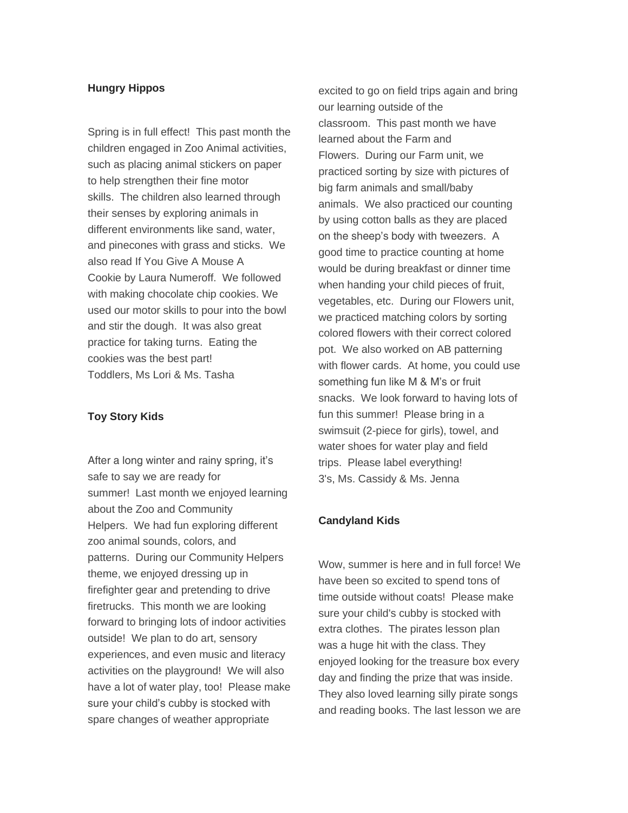## *Hungry Hippos*

Spring is in full effect! This past month the children engaged in Zoo Animal activities, such as placing animal stickers on paper to help strengthen their fine motor skills. The children also learned through their senses by exploring animals in different environments like sand, water, and pinecones with grass and sticks. We also read *If You Give A Mouse A Cookie* by Laura Numeroff. We followed with making chocolate chip cookies. We used our motor skills to pour into the bowl and stir the dough. It was also great practice for taking turns. Eating the cookies was the best part! *Toddlers, Ms Lori & Ms. Tasha*

#### *Toy Story Kids*

After a long winter and rainy spring, it's safe to say we are ready for summer! Last month we enjoyed learning about the Zoo and Community Helpers. We had fun exploring different zoo animal sounds, colors, and patterns. During our Community Helpers theme, we enjoyed dressing up in firefighter gear and pretending to drive firetrucks. This month we are looking forward to bringing lots of indoor activities outside! We plan to do art, sensory experiences, and even music and literacy activities on the playground! We will also have a lot of water play, too! Please make sure your child's cubby is stocked with spare changes of weather appropriate

excited to go on field trips again and bring our learning outside of the classroom. This past month we have learned about the Farm and Flowers. During our Farm unit, we practiced sorting by size with pictures of big farm animals and small/baby animals. We also practiced our counting by using cotton balls as they are placed on the sheep's body with tweezers. A good time to practice counting at home would be during breakfast or dinner time when handing your child pieces of fruit, vegetables, etc. During our Flowers unit, we practiced matching colors by sorting colored flowers with their correct colored pot. We also worked on AB patterning with flower cards. At home, you could use something fun like M & M's or fruit snacks. We look forward to having lots of fun this summer! Please bring in a swimsuit (2-piece for girls), towel, and water shoes for water play and field trips. Please label everything! *3's, Ms. Cassidy & Ms. Jenna*

#### *Candyland Kids*

Wow, summer is here and in full force! We have been so excited to spend tons of time outside without coats! Please make sure your child's cubby is stocked with extra clothes. The pirates lesson plan was a huge hit with the class. They enjoyed looking for the treasure box every day and finding the prize that was inside. They also loved learning silly pirate songs and reading books. The last lesson we are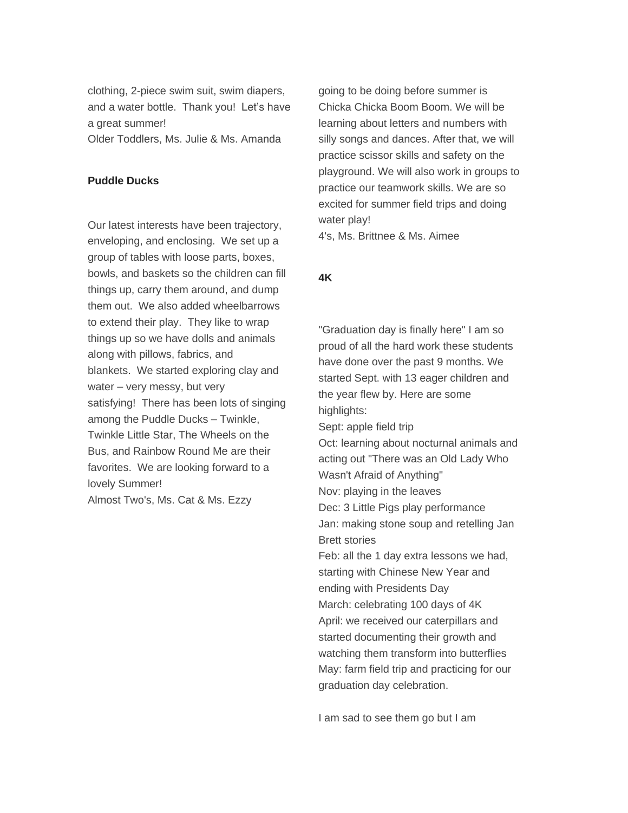clothing, 2-piece swim suit, swim diapers, and a water bottle. Thank you! Let's have a great summer!

*Older Toddlers, Ms. Julie & Ms. Amanda*

## *Puddle Ducks*

Our latest interests have been trajectory, enveloping, and enclosing. We set up a group of tables with loose parts, boxes, bowls, and baskets so the children can fill things up, carry them around, and dump them out. We also added wheelbarrows to extend their play. They like to wrap things up so we have dolls and animals along with pillows, fabrics, and blankets. We started exploring clay and water – very messy, but very satisfying! There has been lots of singing among the Puddle Ducks – *Twinkle, Twinkle Little Star*, *The Wheels on the Bus*, and *Rainbow Round Me* are their favorites. We are looking forward to a lovely Summer! *Almost Two's, Ms. Cat & Ms. Ezzy*

going to be doing before summer is Chicka Chicka Boom Boom. We will be learning about letters and numbers with silly songs and dances. After that, we will practice scissor skills and safety on the playground. We will also work in groups to practice our teamwork skills. We are so excited for summer field trips and doing water play!

*4's, Ms. Brittnee & Ms. Aimee*

## *4K*

"Graduation day is finally here" I am so proud of all the hard work these students have done over the past 9 months. We started Sept. with 13 eager children and the year flew by. Here are some highlights: Sept: apple field trip Oct: learning about nocturnal animals and acting out "There was an Old Lady Who Wasn't Afraid of Anything" Nov: playing in the leaves Dec: 3 Little Pigs play performance Jan: making stone soup and retelling Jan Brett stories Feb: all the 1 day extra lessons we had, starting with Chinese New Year and ending with Presidents Day March: celebrating 100 days of 4K April: we received our caterpillars and started documenting their growth and watching them transform into butterflies May: farm field trip and practicing for our graduation day celebration.

I am sad to see them go but I am